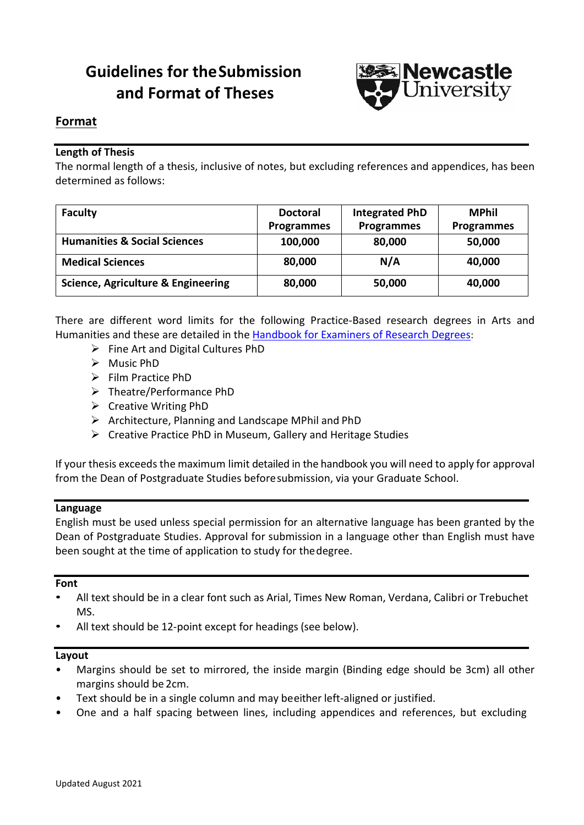# **Guidelines for theSubmission and Format of Theses**



# **Format**

# **Length of Thesis**

The normal length of a thesis, inclusive of notes, but excluding references and appendices, has been determined as follows:

| <b>Faculty</b>                                | <b>Doctoral</b><br><b>Programmes</b> | <b>Integrated PhD</b><br><b>Programmes</b> | MPhil<br><b>Programmes</b> |
|-----------------------------------------------|--------------------------------------|--------------------------------------------|----------------------------|
|                                               |                                      |                                            |                            |
| <b>Humanities &amp; Social Sciences</b>       | 100,000                              | 80,000                                     | 50,000                     |
| <b>Medical Sciences</b>                       | 80,000                               | N/A                                        | 40,000                     |
| <b>Science, Agriculture &amp; Engineering</b> | 80,000                               | 50,000                                     | 40,000                     |

There are different word limits for the following Practice-Based research degrees in Arts and Humanities and these are detailed in the [Handbook for Examiners of Research Degrees:](https://www.ncl.ac.uk/student-progress/pgr/publications/)

- $\triangleright$  Fine Art and Digital Cultures PhD
- $\triangleright$  Music PhD
- $\triangleright$  Film Practice PhD
- Theatre/Performance PhD
- $\triangleright$  Creative Writing PhD
- $\triangleright$  Architecture, Planning and Landscape MPhil and PhD
- $\triangleright$  Creative Practice PhD in Museum, Gallery and Heritage Studies

If your thesis exceeds the maximum limit detailed in the handbook you will need to apply for approval from the Dean of Postgraduate Studies beforesubmission, via your Graduate School.

### **Language**

English must be used unless special permission for an alternative language has been granted by the Dean of Postgraduate Studies. Approval for submission in a language other than English must have been sought at the time of application to study for thedegree.

### **Font**

- All text should be in a clear font such as Arial, Times New Roman, Verdana, Calibri or Trebuchet MS.
- All text should be 12-point except for headings (see below).

### **Layout**

- Margins should be set to mirrored, the inside margin (Binding edge should be 3cm) all other margins should be 2cm.
- Text should be in a single column and may beeither left-aligned or justified.
- One and a half spacing between lines, including appendices and references, but excluding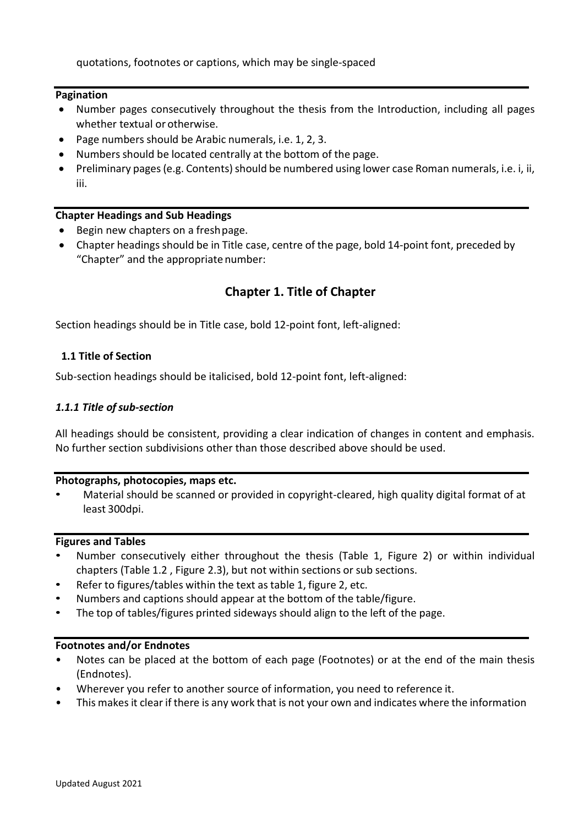quotations, footnotes or captions, which may be single-spaced

### **Pagination**

- Number pages consecutively throughout the thesis from the Introduction, including all pages whether textual or otherwise.
- Page numbers should be Arabic numerals, i.e. 1, 2, 3.
- Numbers should be located centrally at the bottom of the page.
- Preliminary pages (e.g. Contents) should be numbered using lower case Roman numerals, i.e. i, ii, iii.

# **Chapter Headings and Sub Headings**

- Begin new chapters on a freshpage.
- Chapter headings should be in Title case, centre of the page, bold 14-point font, preceded by "Chapter" and the appropriate number:

# **Chapter 1. Title of Chapter**

Section headings should be in Title case, bold 12-point font, left-aligned:

### **1.1 Title of Section**

Sub-section headings should be italicised, bold 12-point font, left-aligned:

### *1.1.1 Title ofsub-section*

All headings should be consistent, providing a clear indication of changes in content and emphasis. No further section subdivisions other than those described above should be used.

### **Photographs, photocopies, maps etc.**

• Material should be scanned or provided in copyright-cleared, high quality digital format of at least 300dpi.

### **Figures and Tables**

- Number consecutively either throughout the thesis (Table 1, Figure 2) or within individual chapters (Table 1.2 , Figure 2.3), but not within sections or sub sections.
- Refer to figures/tables within the text as table 1, figure 2, etc.
- Numbers and captions should appear at the bottom of the table/figure.
- The top of tables/figures printed sideways should align to the left of the page.

# **Footnotes and/or Endnotes**

- Notes can be placed at the bottom of each page (Footnotes) or at the end of the main thesis (Endnotes).
- Wherever you refer to another source of information, you need to reference it.
- This makes it clear if there is any work that is not your own and indicates where the information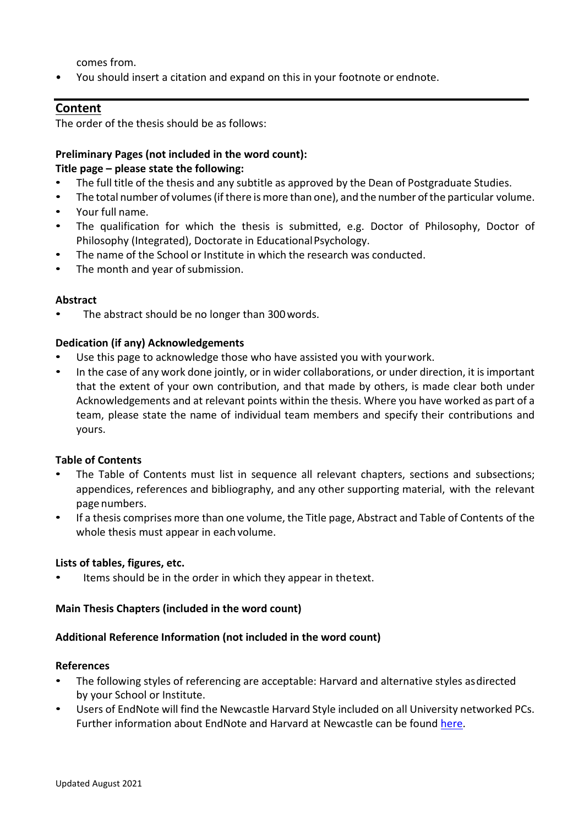comes from.

• You should insert a citation and expand on this in your footnote or endnote.

# **Content**

The order of the thesis should be as follows:

# **Preliminary Pages (not included in the word count):**

# **Title page – please state the following:**

- The full title of the thesis and any subtitle as approved by the Dean of Postgraduate Studies.
- The total number of volumes (if there is more than one), and the number of the particular volume.
- Your full name.
- The qualification for which the thesis is submitted, e.g. Doctor of Philosophy, Doctor of Philosophy (Integrated), Doctorate in EducationalPsychology.
- The name of the School or Institute in which the research was conducted.
- The month and year of submission.

# **Abstract**

• The abstract should be no longer than 300words.

# **Dedication (if any) Acknowledgements**

- Use this page to acknowledge those who have assisted you with your work.
- In the case of any work done jointly, or in wider collaborations, or under direction, it is important that the extent of your own contribution, and that made by others, is made clear both under Acknowledgements and at relevant points within the thesis. Where you have worked as part of a team, please state the name of individual team members and specify their contributions and yours.

# **Table of Contents**

- The Table of Contents must list in sequence all relevant chapters, sections and subsections; appendices, references and bibliography, and any other supporting material, with the relevant page numbers.
- If a thesis comprises more than one volume, the Title page, Abstract and Table of Contents of the whole thesis must appear in each volume.

### **Lists of tables, figures, etc.**

Items should be in the order in which they appear in thetext.

### **Main Thesis Chapters (included in the word count)**

# **Additional Reference Information (not included in the word count)**

### **References**

- The following styles of referencing are acceptable: Harvard and alternative styles asdirected by your School or Institute.
- Users of EndNote will find the Newcastle Harvard Style included on all University networked PCs. Further information about EndNote and Harvard at Newcastle can be found [here.](http://libguides.ncl.ac.uk/endnote)